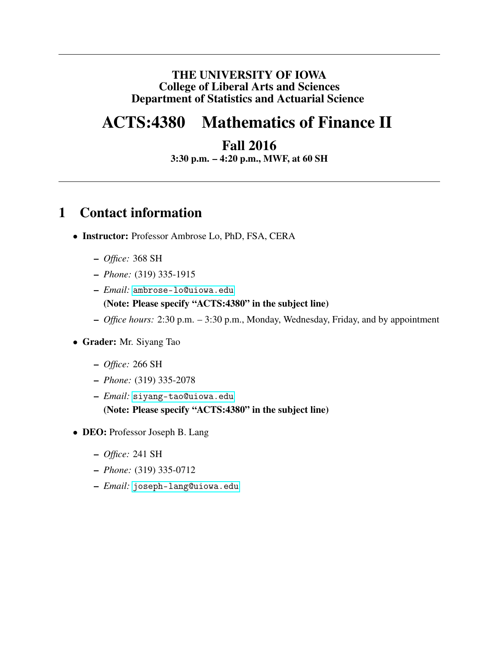#### THE UNIVERSITY OF IOWA College of Liberal Arts and Sciences Department of Statistics and Actuarial Science

# ACTS:4380 Mathematics of Finance II

### Fall 2016

3:30 p.m. – 4:20 p.m., MWF, at 60 SH

### 1 Contact information

- Instructor: Professor Ambrose Lo, PhD, FSA, CERA
	- *Office:* 368 SH
	- *Phone:* (319) 335-1915
	- *Email:* <ambrose-lo@uiowa.edu> (Note: Please specify "ACTS:4380" in the subject line)
	- *Office hours:* 2:30 p.m. 3:30 p.m., Monday, Wednesday, Friday, and by appointment
- Grader: Mr. Siyang Tao
	- *Office:* 266 SH
	- *Phone:* (319) 335-2078
	- *Email:* <siyang-tao@uiowa.edu> (Note: Please specify "ACTS:4380" in the subject line)
- DEO: Professor Joseph B. Lang
	- *Office:* 241 SH
	- *Phone:* (319) 335-0712
	- *Email:* <joseph-lang@uiowa.edu>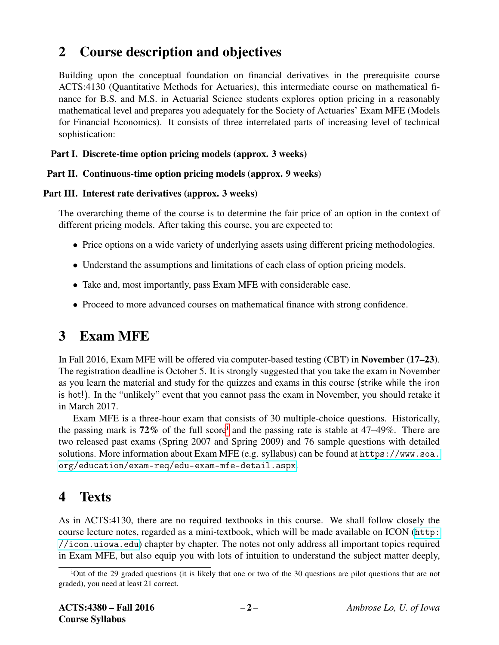### 2 Course description and objectives

Building upon the conceptual foundation on financial derivatives in the prerequisite course ACTS:4130 (Quantitative Methods for Actuaries), this intermediate course on mathematical finance for B.S. and M.S. in Actuarial Science students explores option pricing in a reasonably mathematical level and prepares you adequately for the Society of Actuaries' Exam MFE (Models for Financial Economics). It consists of three interrelated parts of increasing level of technical sophistication:

#### Part I. Discrete-time option pricing models (approx. 3 weeks)

#### Part II. Continuous-time option pricing models (approx. 9 weeks)

#### Part III. Interest rate derivatives (approx. 3 weeks)

The overarching theme of the course is to determine the fair price of an option in the context of different pricing models. After taking this course, you are expected to:

- Price options on a wide variety of underlying assets using different pricing methodologies.
- Understand the assumptions and limitations of each class of option pricing models.
- Take and, most importantly, pass Exam MFE with considerable ease.
- Proceed to more advanced courses on mathematical finance with strong confidence.

### 3 Exam MFE

In Fall 2016, Exam MFE will be offered via computer-based testing (CBT) in November (17–23). The registration deadline is October 5. It is strongly suggested that you take the exam in November as you learn the material and study for the quizzes and exams in this course (strike while the iron is hot!). In the "unlikely" event that you cannot pass the exam in November, you should retake it in March 2017.

Exam MFE is a three-hour exam that consists of 30 multiple-choice questions. Historically, the pass[i](#page-1-0)ng mark is  $72\%$  of the full score<sup>i</sup> and the passing rate is stable at  $47-49\%$ . There are two released past exams (Spring 2007 and Spring 2009) and 76 sample questions with detailed solutions. More information about Exam MFE (e.g. syllabus) can be found at [https://www.soa.](https://www.soa.org/education/exam-req/edu-exam-mfe-detail.aspx) [org/education/exam-req/edu-exam-mfe-detail.aspx](https://www.soa.org/education/exam-req/edu-exam-mfe-detail.aspx).

### 4 Texts

As in ACTS:4130, there are no required textbooks in this course. We shall follow closely the course lecture notes, regarded as a mini-textbook, which will be made available on ICON ([http:](http://icon.uiowa.edu) [//icon.uiowa.edu](http://icon.uiowa.edu)) chapter by chapter. The notes not only address all important topics required in Exam MFE, but also equip you with lots of intuition to understand the subject matter deeply,

<span id="page-1-0"></span><sup>&</sup>lt;sup>i</sup>Out of the 29 graded questions (it is likely that one or two of the 30 questions are pilot questions that are not graded), you need at least 21 correct.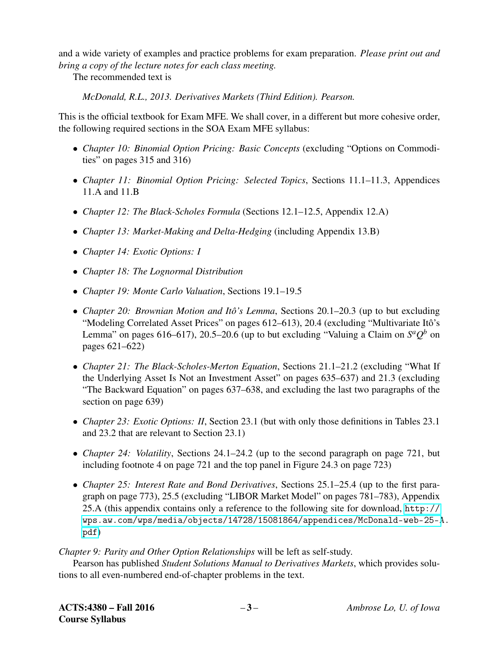and a wide variety of examples and practice problems for exam preparation. *Please print out and bring a copy of the lecture notes for each class meeting.*

The recommended text is

*McDonald, R.L., 2013. Derivatives Markets (Third Edition). Pearson.*

This is the official textbook for Exam MFE. We shall cover, in a different but more cohesive order, the following required sections in the SOA Exam MFE syllabus:

- *Chapter 10: Binomial Option Pricing: Basic Concepts* (excluding "Options on Commodities" on pages 315 and 316)
- *Chapter 11: Binomial Option Pricing: Selected Topics*, Sections 11.1–11.3, Appendices 11.A and 11.B
- *Chapter 12: The Black-Scholes Formula* (Sections 12.1–12.5, Appendix 12.A)
- *Chapter 13: Market-Making and Delta-Hedging* (including Appendix 13.B)
- *Chapter 14: Exotic Options: I*
- *Chapter 18: The Lognormal Distribution*
- *Chapter 19: Monte Carlo Valuation*, Sections 19.1–19.5
- *Chapter 20: Brownian Motion and Itô's Lemma*, Sections 20.1–20.3 (up to but excluding "Modeling Correlated Asset Prices" on pages 612–613), 20.4 (excluding "Multivariate Itô's Lemma" on pages 616–617), 20.5–20.6 (up to but excluding "Valuing a Claim on  $S^a Q^b$  on pages 621–622)
- *Chapter 21: The Black-Scholes-Merton Equation*, Sections 21.1–21.2 (excluding "What If the Underlying Asset Is Not an Investment Asset" on pages 635–637) and 21.3 (excluding "The Backward Equation" on pages 637–638, and excluding the last two paragraphs of the section on page 639)
- *Chapter 23: Exotic Options: II*, Section 23.1 (but with only those definitions in Tables 23.1 and 23.2 that are relevant to Section 23.1)
- *Chapter 24: Volatility*, Sections 24.1–24.2 (up to the second paragraph on page 721, but including footnote 4 on page 721 and the top panel in Figure 24.3 on page 723)
- *Chapter 25: Interest Rate and Bond Derivatives*, Sections 25.1–25.4 (up to the first paragraph on page 773), 25.5 (excluding "LIBOR Market Model" on pages 781–783), Appendix 25.A (this appendix contains only a reference to the following site for download, [http://](http://wps.aw.com/wps/media/objects/14728/15081864/appendices/McDonald-web-25-A.pdf) [wps.aw.com/wps/media/objects/14728/15081864/appendices/McDonald-web-25-A](http://wps.aw.com/wps/media/objects/14728/15081864/appendices/McDonald-web-25-A.pdf). [pdf](http://wps.aw.com/wps/media/objects/14728/15081864/appendices/McDonald-web-25-A.pdf))

*Chapter 9: Parity and Other Option Relationships* will be left as self-study.

Pearson has published *Student Solutions Manual to Derivatives Markets*, which provides solutions to all even-numbered end-of-chapter problems in the text.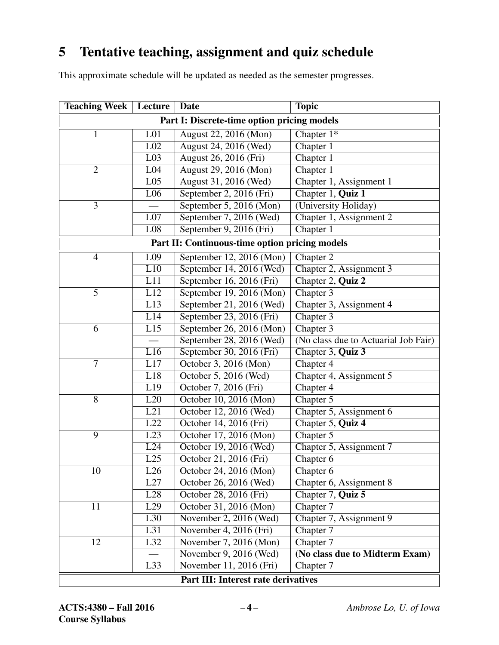# 5 Tentative teaching, assignment and quiz schedule

This approximate schedule will be updated as needed as the semester progresses.

| <b>Teaching Week</b>                           | Lecture          | <b>Date</b>              | <b>Topic</b>                         |  |  |  |  |  |
|------------------------------------------------|------------------|--------------------------|--------------------------------------|--|--|--|--|--|
| Part I: Discrete-time option pricing models    |                  |                          |                                      |  |  |  |  |  |
| $\mathbf{1}$                                   | L <sub>01</sub>  | August 22, 2016 (Mon)    | Chapter $1^*$                        |  |  |  |  |  |
|                                                | $\overline{L02}$ | August 24, 2016 (Wed)    | Chapter 1                            |  |  |  |  |  |
|                                                | L <sub>03</sub>  | August 26, 2016 (Fri)    | Chapter 1                            |  |  |  |  |  |
| $\overline{2}$                                 | L04              | August 29, 2016 (Mon)    | Chapter 1                            |  |  |  |  |  |
|                                                | L <sub>05</sub>  | August 31, 2016 (Wed)    | Chapter 1, Assignment 1              |  |  |  |  |  |
|                                                | L <sub>06</sub>  | September 2, 2016 (Fri)  | Chapter 1, Quiz 1                    |  |  |  |  |  |
| 3                                              |                  | September 5, 2016 (Mon)  | (University Holiday)                 |  |  |  |  |  |
|                                                | L07              | September 7, 2016 (Wed)  | Chapter 1, Assignment 2              |  |  |  |  |  |
|                                                | L <sub>08</sub>  | September 9, 2016 (Fri)  | Chapter 1                            |  |  |  |  |  |
| Part II: Continuous-time option pricing models |                  |                          |                                      |  |  |  |  |  |
| $\overline{4}$                                 | L <sub>09</sub>  | September 12, 2016 (Mon) | Chapter 2                            |  |  |  |  |  |
|                                                | L10              | September 14, 2016 (Wed) | Chapter 2, Assignment 3              |  |  |  |  |  |
|                                                | L11              | September 16, 2016 (Fri) | Chapter 2, Quiz 2                    |  |  |  |  |  |
| $\overline{5}$                                 | L12              | September 19, 2016 (Mon) | Chapter 3                            |  |  |  |  |  |
|                                                | L13              | September 21, 2016 (Wed) | Chapter 3, Assignment 4              |  |  |  |  |  |
|                                                | L14              | September 23, 2016 (Fri) | Chapter 3                            |  |  |  |  |  |
| 6                                              | L15              | September 26, 2016 (Mon) | Chapter 3                            |  |  |  |  |  |
|                                                |                  | September 28, 2016 (Wed) | (No class due to Actuarial Job Fair) |  |  |  |  |  |
|                                                | L16              | September 30, 2016 (Fri) | Chapter 3, Quiz 3                    |  |  |  |  |  |
| $\tau$                                         | L17              | October 3, 2016 (Mon)    | Chapter 4                            |  |  |  |  |  |
|                                                | L18              | October 5, 2016 (Wed)    | Chapter 4, Assignment 5              |  |  |  |  |  |
|                                                | L19              | October 7, 2016 (Fri)    | Chapter 4                            |  |  |  |  |  |
| 8                                              | L20              | October 10, 2016 (Mon)   | Chapter 5                            |  |  |  |  |  |
|                                                | L21              | October 12, 2016 (Wed)   | Chapter 5, Assignment 6              |  |  |  |  |  |
|                                                | L22              | October 14, 2016 (Fri)   | Chapter 5, Quiz 4                    |  |  |  |  |  |
| 9                                              | L23              | October 17, 2016 (Mon)   | Chapter 5                            |  |  |  |  |  |
|                                                | L24              | October 19, 2016 (Wed)   | Chapter 5, Assignment 7              |  |  |  |  |  |
|                                                | L25              | October 21, 2016 (Fri)   | $\overline{\text{Chapter 6}}$        |  |  |  |  |  |
| 10                                             | L26              | October 24, 2016 (Mon)   | Chapter 6                            |  |  |  |  |  |
|                                                | L27              | October 26, 2016 (Wed)   | Chapter 6, Assignment 8              |  |  |  |  |  |
|                                                | L28              | October 28, 2016 (Fri)   | Chapter 7, Quiz 5                    |  |  |  |  |  |
| 11                                             | L29              | October 31, 2016 (Mon)   | Chapter 7                            |  |  |  |  |  |
|                                                | L30              | November 2, 2016 (Wed)   | Chapter 7, Assignment 9              |  |  |  |  |  |
|                                                | L31              | November 4, 2016 (Fri)   | Chapter 7                            |  |  |  |  |  |
| 12                                             | L32              | November 7, 2016 (Mon)   | Chapter 7                            |  |  |  |  |  |
|                                                |                  | November 9, 2016 (Wed)   | (No class due to Midterm Exam)       |  |  |  |  |  |
|                                                | L33              | November 11, 2016 (Fri)  | Chapter 7                            |  |  |  |  |  |
| Part III: Interest rate derivatives            |                  |                          |                                      |  |  |  |  |  |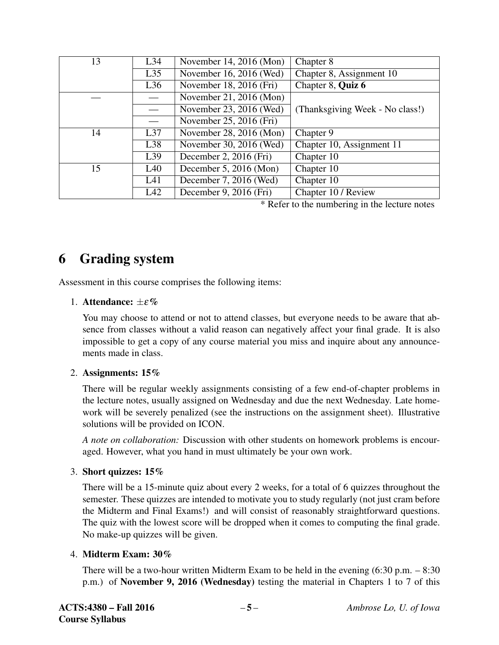| 13 | L34 | November 14, 2016 (Mon) | Chapter 8                       |  |  |  |
|----|-----|-------------------------|---------------------------------|--|--|--|
|    | L35 | November 16, 2016 (Wed) | Chapter 8, Assignment 10        |  |  |  |
|    | L36 | November 18, 2016 (Fri) | Chapter 8, Quiz 6               |  |  |  |
|    |     | November 21, 2016 (Mon) |                                 |  |  |  |
|    |     | November 23, 2016 (Wed) | (Thanksgiving Week - No class!) |  |  |  |
|    |     | November 25, 2016 (Fri) |                                 |  |  |  |
| 14 | L37 | November 28, 2016 (Mon) | Chapter 9                       |  |  |  |
|    | L38 | November 30, 2016 (Wed) | Chapter 10, Assignment 11       |  |  |  |
|    | L39 | December 2, 2016 (Fri)  | Chapter 10                      |  |  |  |
| 15 | L40 | December 5, 2016 (Mon)  | Chapter 10                      |  |  |  |
|    | L41 | December 7, 2016 (Wed)  | Chapter 10                      |  |  |  |
|    | L42 | December 9, 2016 (Fri)  | Chapter 10 / Review             |  |  |  |

\* Refer to the numbering in the lecture notes

### 6 Grading system

Assessment in this course comprises the following items:

#### 1. Attendance:  $\pm \varepsilon \%$

You may choose to attend or not to attend classes, but everyone needs to be aware that absence from classes without a valid reason can negatively affect your final grade. It is also impossible to get a copy of any course material you miss and inquire about any announcements made in class.

#### 2. Assignments: 15%

There will be regular weekly assignments consisting of a few end-of-chapter problems in the lecture notes, usually assigned on Wednesday and due the next Wednesday. Late homework will be severely penalized (see the instructions on the assignment sheet). Illustrative solutions will be provided on ICON.

*A note on collaboration:* Discussion with other students on homework problems is encouraged. However, what you hand in must ultimately be your own work.

#### 3. Short quizzes: 15%

There will be a 15-minute quiz about every 2 weeks, for a total of 6 quizzes throughout the semester. These quizzes are intended to motivate you to study regularly (not just cram before the Midterm and Final Exams!) and will consist of reasonably straightforward questions. The quiz with the lowest score will be dropped when it comes to computing the final grade. No make-up quizzes will be given.

#### 4. Midterm Exam: 30%

There will be a two-hour written Midterm Exam to be held in the evening (6:30 p.m. – 8:30 p.m.) of November 9, 2016 (Wednesday) testing the material in Chapters 1 to 7 of this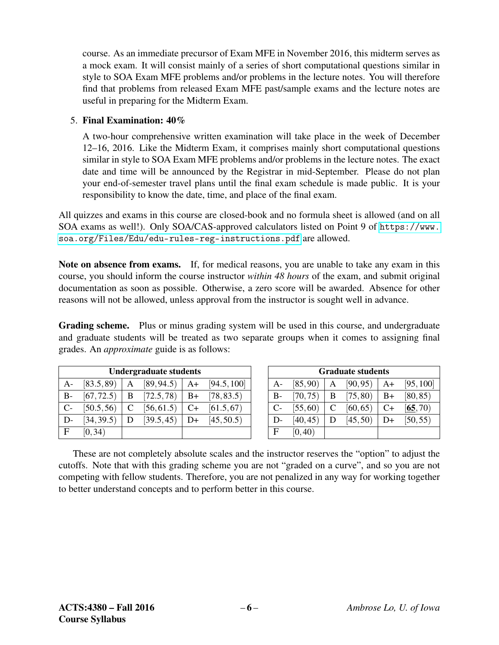course. As an immediate precursor of Exam MFE in November 2016, this midterm serves as a mock exam. It will consist mainly of a series of short computational questions similar in style to SOA Exam MFE problems and/or problems in the lecture notes. You will therefore find that problems from released Exam MFE past/sample exams and the lecture notes are useful in preparing for the Midterm Exam.

#### 5. Final Examination: 40%

A two-hour comprehensive written examination will take place in the week of December 12–16, 2016. Like the Midterm Exam, it comprises mainly short computational questions similar in style to SOA Exam MFE problems and/or problems in the lecture notes. The exact date and time will be announced by the Registrar in mid-September. Please do not plan your end-of-semester travel plans until the final exam schedule is made public. It is your responsibility to know the date, time, and place of the final exam.

All quizzes and exams in this course are closed-book and no formula sheet is allowed (and on all SOA exams as well!). Only SOA/CAS-approved calculators listed on Point 9 of [https://www.](https://www.soa.org/Files/Edu/edu-rules-reg-instructions.pdf) [soa.org/Files/Edu/edu-rules-reg-instructions.pdf](https://www.soa.org/Files/Edu/edu-rules-reg-instructions.pdf) are allowed.

Note on absence from exams. If, for medical reasons, you are unable to take any exam in this course, you should inform the course instructor *within 48 hours* of the exam, and submit original documentation as soon as possible. Otherwise, a zero score will be awarded. Absence for other reasons will not be allowed, unless approval from the instructor is sought well in advance.

Grading scheme. Plus or minus grading system will be used in this course, and undergraduate and graduate students will be treated as two separate groups when it comes to assigning final grades. An *approximate* guide is as follows:

| <b>Undergraduate students</b> |            |   |            |      | <b>Graduate students</b> |       |          |   |          |              |
|-------------------------------|------------|---|------------|------|--------------------------|-------|----------|---|----------|--------------|
| A-                            | [83.5, 89] | А | [89, 94.5] | $A+$ | [94.5, 100]              | $A-$  | [85, 90) | A | [90, 95) | A            |
| <b>B-</b>                     | [67, 72.5) | B | [72.5, 78] | $B+$ | [78, 83.5]               | $B -$ | [70, 75) | B | [75, 80) | $\mathbf{B}$ |
| $C-$                          | [50.5, 56] |   | [56, 61.5] | $C+$ | [61.5, 67]               | $C-$  | [55, 60) |   | [60, 65) | $\mathbf{C}$ |
| $D$ -                         | [34, 39.5] |   | [39.5, 45] | D+   | [45, 50.5]               | $D-$  | [40, 45] |   | [45, 50) | D.           |
| E                             | [0, 34)    |   |            |      |                          | E     | [0, 40]  |   |          |              |

These are not completely absolute scales and the instructor reserves the "option" to adjust the cutoffs. Note that with this grading scheme you are not "graded on a curve", and so you are not competing with fellow students. Therefore, you are not penalized in any way for working together to better understand concepts and to perform better in this course.

A  $[90,95)$   $A+$   $[95,100]$ B  $[75,80)$  B+  $[80,85)$ C  $[60,65)$  C+  $[65,70)$ D  $[45,50)$  D+  $[50,55)$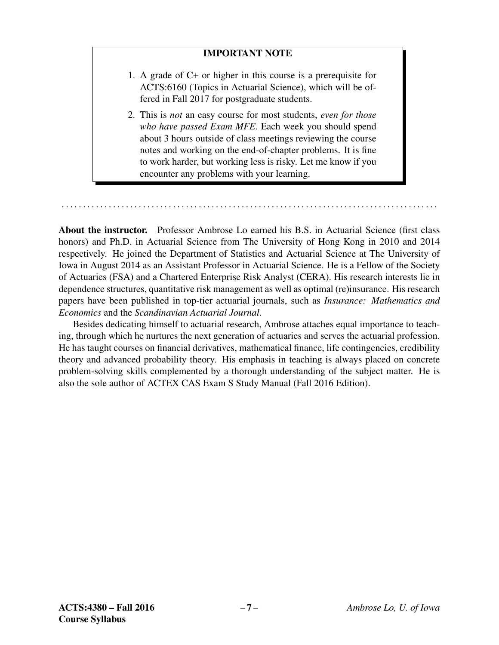#### IMPORTANT NOTE

- 1. A grade of C+ or higher in this course is a prerequisite for ACTS:6160 (Topics in Actuarial Science), which will be offered in Fall 2017 for postgraduate students.
- 2. This is *not* an easy course for most students, *even for those who have passed Exam MFE*. Each week you should spend about 3 hours outside of class meetings reviewing the course notes and working on the end-of-chapter problems. It is fine to work harder, but working less is risky. Let me know if you encounter any problems with your learning.

About the instructor. Professor Ambrose Lo earned his B.S. in Actuarial Science (first class honors) and Ph.D. in Actuarial Science from The University of Hong Kong in 2010 and 2014 respectively. He joined the Department of Statistics and Actuarial Science at The University of Iowa in August 2014 as an Assistant Professor in Actuarial Science. He is a Fellow of the Society of Actuaries (FSA) and a Chartered Enterprise Risk Analyst (CERA). His research interests lie in dependence structures, quantitative risk management as well as optimal (re)insurance. His research papers have been published in top-tier actuarial journals, such as *Insurance: Mathematics and Economics* and the *Scandinavian Actuarial Journal*.

. . . . . . . . . . . . . . . . . . . . . . . . . . . . . . . . . . . . . . . . . . . . . . . . . . . . . . . . . . . . . . . . . . . . . . . . . . . . . . . . . . . . . . . .

Besides dedicating himself to actuarial research, Ambrose attaches equal importance to teaching, through which he nurtures the next generation of actuaries and serves the actuarial profession. He has taught courses on financial derivatives, mathematical finance, life contingencies, credibility theory and advanced probability theory. His emphasis in teaching is always placed on concrete problem-solving skills complemented by a thorough understanding of the subject matter. He is also the sole author of ACTEX CAS Exam S Study Manual (Fall 2016 Edition).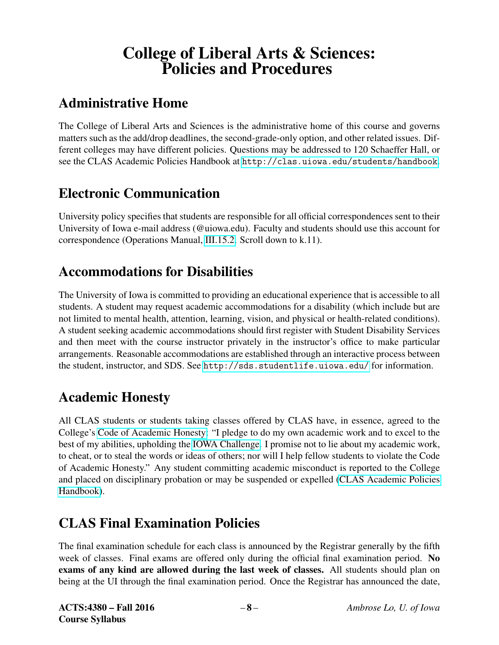# College of Liberal Arts & Sciences: Policies and Procedures

# Administrative Home

The College of Liberal Arts and Sciences is the administrative home of this course and governs matters such as the add/drop deadlines, the second-grade-only option, and other related issues. Different colleges may have different policies. Questions may be addressed to 120 Schaeffer Hall, or see the CLAS Academic Policies Handbook at <http://clas.uiowa.edu/students/handbook>.

### Electronic Communication

University policy specifies that students are responsible for all official correspondences sent to their University of Iowa e-mail address (@uiowa.edu). Faculty and students should use this account for correspondence (Operations Manual, [III.15.2.](http://www.uiowa.edu/~our/opmanual/iii/15.htm#152) Scroll down to k.11).

### Accommodations for Disabilities

The University of Iowa is committed to providing an educational experience that is accessible to all students. A student may request academic accommodations for a disability (which include but are not limited to mental health, attention, learning, vision, and physical or health-related conditions). A student seeking academic accommodations should first register with Student Disability Services and then meet with the course instructor privately in the instructor's office to make particular arrangements. Reasonable accommodations are established through an interactive process between the student, instructor, and SDS. See <http://sds.studentlife.uiowa.edu/> for information.

### Academic Honesty

All CLAS students or students taking classes offered by CLAS have, in essence, agreed to the College's [Code of Academic Honesty:](http://clas.uiowa.edu/students/handbook/academic-fraud-honor-code) "I pledge to do my own academic work and to excel to the best of my abilities, upholding the [IOWA Challenge.](http://thechallenge.uiowa.edu/) I promise not to lie about my academic work, to cheat, or to steal the words or ideas of others; nor will I help fellow students to violate the Code of Academic Honesty." Any student committing academic misconduct is reported to the College and placed on disciplinary probation or may be suspended or expelled [\(CLAS Academic Policies](http://clas.uiowa.edu/students/handbook) [Handbook\)](http://clas.uiowa.edu/students/handbook).

# CLAS Final Examination Policies

The final examination schedule for each class is announced by the Registrar generally by the fifth week of classes. Final exams are offered only during the official final examination period. No exams of any kind are allowed during the last week of classes. All students should plan on being at the UI through the final examination period. Once the Registrar has announced the date,